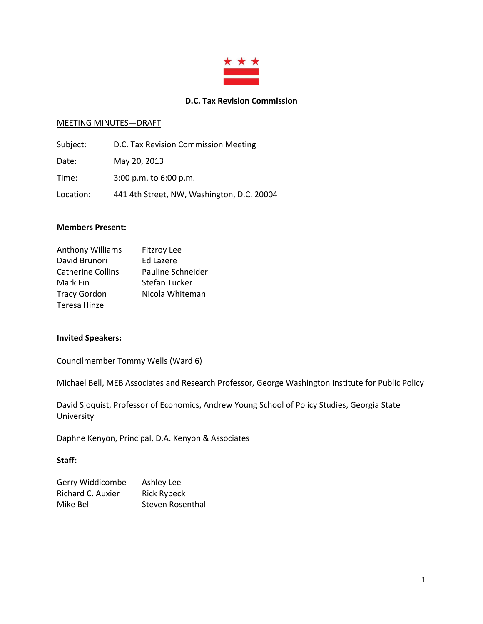

### **D.C. Tax Revision Commission**

### MEETING MINUTES—DRAFT

| Subject:  | D.C. Tax Revision Commission Meeting       |
|-----------|--------------------------------------------|
| Date:     | May 20, 2013                               |
| Time:     | $3:00$ p.m. to $6:00$ p.m.                 |
| Location: | 441 4th Street, NW, Washington, D.C. 20004 |

### **Members Present:**

| Anthony Williams         | <b>Fitzroy Lee</b>   |  |
|--------------------------|----------------------|--|
| David Brunori            | <b>Ed Lazere</b>     |  |
| <b>Catherine Collins</b> | Pauline Schneider    |  |
| Mark Ein                 | <b>Stefan Tucker</b> |  |
| <b>Tracy Gordon</b>      | Nicola Whiteman      |  |
| Teresa Hinze             |                      |  |

## **Invited Speakers:**

Councilmember Tommy Wells (Ward 6)

Michael Bell, MEB Associates and Research Professor, George Washington Institute for Public Policy

David Sjoquist, Professor of Economics, Andrew Young School of Policy Studies, Georgia State University

Daphne Kenyon, Principal, D.A. Kenyon & Associates

### **Staff:**

| Gerry Widdicombe  | Ashley Lee         |
|-------------------|--------------------|
| Richard C. Auxier | <b>Rick Rybeck</b> |
| Mike Bell         | Steven Rosenthal   |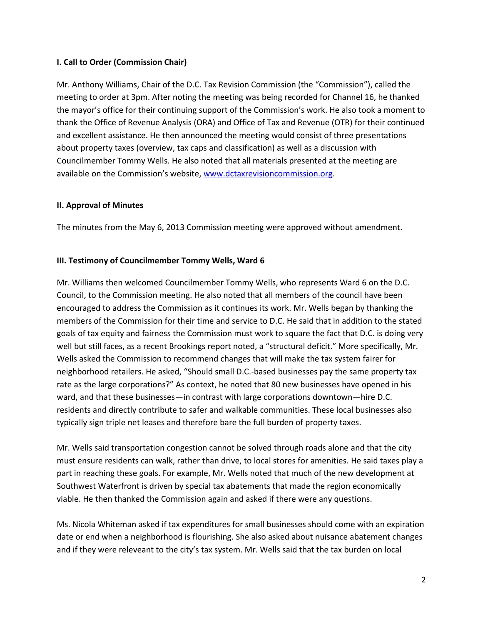# **I. Call to Order (Commission Chair)**

Mr. Anthony Williams, Chair of the D.C. Tax Revision Commission (the "Commission"), called the meeting to order at 3pm. After noting the meeting was being recorded for Channel 16, he thanked the mayor's office for their continuing support of the Commission's work. He also took a moment to thank the Office of Revenue Analysis (ORA) and Office of Tax and Revenue (OTR) for their continued and excellent assistance. He then announced the meeting would consist of three presentations about property taxes (overview, tax caps and classification) as well as a discussion with Councilmember Tommy Wells. He also noted that all materials presented at the meeting are available on the Commission's website, [www.dctaxrevisioncommission.org.](http://www.dctaxrevisioncommission.org/)

## **II. Approval of Minutes**

The minutes from the May 6, 2013 Commission meeting were approved without amendment.

## **III. Testimony of Councilmember Tommy Wells, Ward 6**

Mr. Williams then welcomed Councilmember Tommy Wells, who represents Ward 6 on the D.C. Council, to the Commission meeting. He also noted that all members of the council have been encouraged to address the Commission as it continues its work. Mr. Wells began by thanking the members of the Commission for their time and service to D.C. He said that in addition to the stated goals of tax equity and fairness the Commission must work to square the fact that D.C. is doing very well but still faces, as a recent Brookings report noted, a "structural deficit." More specifically, Mr. Wells asked the Commission to recommend changes that will make the tax system fairer for neighborhood retailers. He asked, "Should small D.C.-based businesses pay the same property tax rate as the large corporations?" As context, he noted that 80 new businesses have opened in his ward, and that these businesses—in contrast with large corporations downtown—hire D.C. residents and directly contribute to safer and walkable communities. These local businesses also typically sign triple net leases and therefore bare the full burden of property taxes.

Mr. Wells said transportation congestion cannot be solved through roads alone and that the city must ensure residents can walk, rather than drive, to local stores for amenities. He said taxes play a part in reaching these goals. For example, Mr. Wells noted that much of the new development at Southwest Waterfront is driven by special tax abatements that made the region economically viable. He then thanked the Commission again and asked if there were any questions.

Ms. Nicola Whiteman asked if tax expenditures for small businesses should come with an expiration date or end when a neighborhood is flourishing. She also asked about nuisance abatement changes and if they were releveant to the city's tax system. Mr. Wells said that the tax burden on local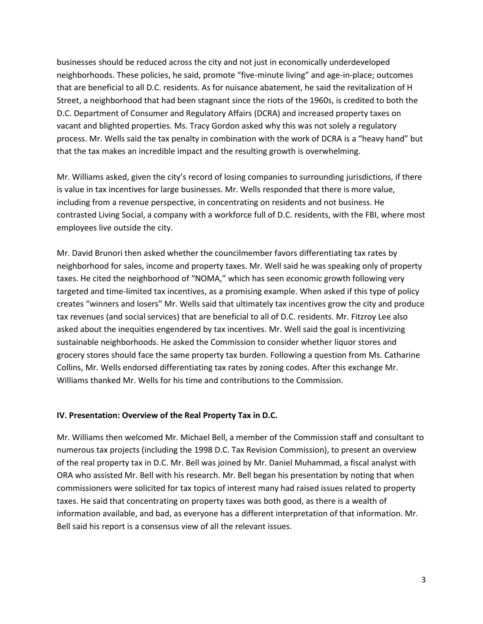businesses should be reduced across the city and not just in economically underdeveloped neighborhoods. These policies, he said, promote "five-minute living" and age-in-place; outcomes that are beneficial to all D.C. residents. As for nuisance abatement, he said the revitalization of H Street, a neighborhood that had been stagnant since the riots of the 1960s, is credited to both the D.C. Department of Consumer and Regulatory Affairs (DCRA) and increased property taxes on vacant and blighted properties. Ms. Tracy Gordon asked why this was not solely a regulatory process. Mr. Wells said the tax penalty in combination with the work of DCRA is a "heavy hand" but that the tax makes an incredible impact and the resulting growth is overwhelming.

Mr. Williams asked, given the city's record of losing companies to surrounding jurisdictions, if there is value in tax incentives for large businesses. Mr. Wells responded that there is more value, including from a revenue perspective, in concentrating on residents and not business. He contrasted Living Social, a company with a workforce full of D.C. residents, with the FBI, where most employees live outside the city.

Mr. David Brunori then asked whether the councilmember favors differentiating tax rates by neighborhood for sales, income and property taxes. Mr. Well said he was speaking only of property taxes. He cited the neighborhood of "NOMA," which has seen economic growth following very targeted and time-limited tax incentives, as a promising example. When asked if this type of policy creates "winners and losers" Mr. Wells said that ultimately tax incentives grow the city and produce tax revenues (and social services) that are beneficial to all of D.C. residents. Mr. Fitzroy Lee also asked about the inequities engendered by tax incentives. Mr. Well said the goal is incentivizing sustainable neighborhoods. He asked the Commission to consider whether liquor stores and grocery stores should face the same property tax burden. Following a question from Ms. Catharine Collins, Mr. Wells endorsed differentiating tax rates by zoning codes. After this exchange Mr. Williams thanked Mr. Wells for his time and contributions to the Commission.

# **IV. Presentation: Overview of the Real Property Tax in D.C.**

Mr. Williams then welcomed Mr. Michael Bell, a member of the Commission staff and consultant to numerous tax projects (including the 1998 D.C. Tax Revision Commission), to present an overview of the real property tax in D.C. Mr. Bell was joined by Mr. Daniel Muhammad, a fiscal analyst with ORA who assisted Mr. Bell with his research. Mr. Bell began his presentation by noting that when commissioners were solicited for tax topics of interest many had raised issues related to property taxes. He said that concentrating on property taxes was both good, as there is a wealth of information available, and bad, as everyone has a different interpretation of that information. Mr. Bell said his report is a consensus view of all the relevant issues.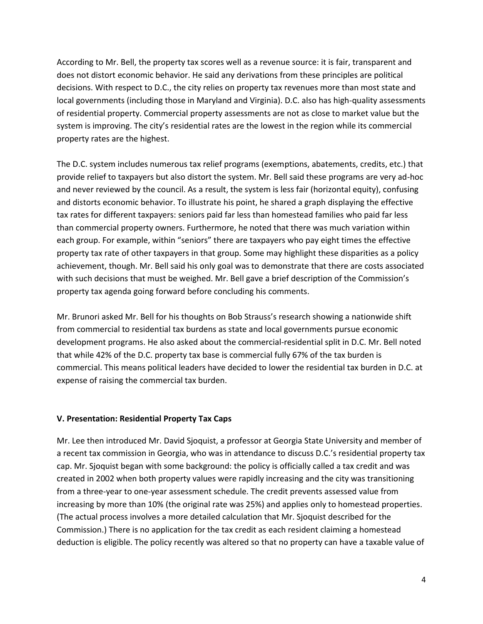According to Mr. Bell, the property tax scores well as a revenue source: it is fair, transparent and does not distort economic behavior. He said any derivations from these principles are political decisions. With respect to D.C., the city relies on property tax revenues more than most state and local governments (including those in Maryland and Virginia). D.C. also has high-quality assessments of residential property. Commercial property assessments are not as close to market value but the system is improving. The city's residential rates are the lowest in the region while its commercial property rates are the highest.

The D.C. system includes numerous tax relief programs (exemptions, abatements, credits, etc.) that provide relief to taxpayers but also distort the system. Mr. Bell said these programs are very ad-hoc and never reviewed by the council. As a result, the system is less fair (horizontal equity), confusing and distorts economic behavior. To illustrate his point, he shared a graph displaying the effective tax rates for different taxpayers: seniors paid far less than homestead families who paid far less than commercial property owners. Furthermore, he noted that there was much variation within each group. For example, within "seniors" there are taxpayers who pay eight times the effective property tax rate of other taxpayers in that group. Some may highlight these disparities as a policy achievement, though. Mr. Bell said his only goal was to demonstrate that there are costs associated with such decisions that must be weighed. Mr. Bell gave a brief description of the Commission's property tax agenda going forward before concluding his comments.

Mr. Brunori asked Mr. Bell for his thoughts on Bob Strauss's research showing a nationwide shift from commercial to residential tax burdens as state and local governments pursue economic development programs. He also asked about the commercial-residential split in D.C. Mr. Bell noted that while 42% of the D.C. property tax base is commercial fully 67% of the tax burden is commercial. This means political leaders have decided to lower the residential tax burden in D.C. at expense of raising the commercial tax burden.

# **V. Presentation: Residential Property Tax Caps**

Mr. Lee then introduced Mr. David Sjoquist, a professor at Georgia State University and member of a recent tax commission in Georgia, who was in attendance to discuss D.C.'s residential property tax cap. Mr. Sjoquist began with some background: the policy is officially called a tax credit and was created in 2002 when both property values were rapidly increasing and the city was transitioning from a three-year to one-year assessment schedule. The credit prevents assessed value from increasing by more than 10% (the original rate was 25%) and applies only to homestead properties. (The actual process involves a more detailed calculation that Mr. Sjoquist described for the Commission.) There is no application for the tax credit as each resident claiming a homestead deduction is eligible. The policy recently was altered so that no property can have a taxable value of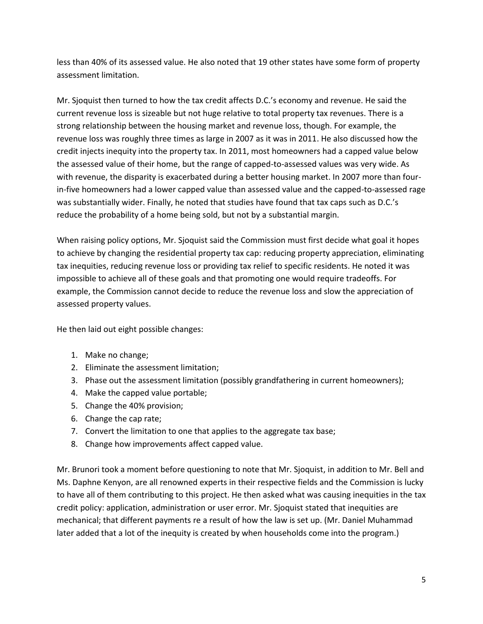less than 40% of its assessed value. He also noted that 19 other states have some form of property assessment limitation.

Mr. Sjoquist then turned to how the tax credit affects D.C.'s economy and revenue. He said the current revenue loss is sizeable but not huge relative to total property tax revenues. There is a strong relationship between the housing market and revenue loss, though. For example, the revenue loss was roughly three times as large in 2007 as it was in 2011. He also discussed how the credit injects inequity into the property tax. In 2011, most homeowners had a capped value below the assessed value of their home, but the range of capped-to-assessed values was very wide. As with revenue, the disparity is exacerbated during a better housing market. In 2007 more than fourin-five homeowners had a lower capped value than assessed value and the capped-to-assessed rage was substantially wider. Finally, he noted that studies have found that tax caps such as D.C.'s reduce the probability of a home being sold, but not by a substantial margin.

When raising policy options, Mr. Sjoquist said the Commission must first decide what goal it hopes to achieve by changing the residential property tax cap: reducing property appreciation, eliminating tax inequities, reducing revenue loss or providing tax relief to specific residents. He noted it was impossible to achieve all of these goals and that promoting one would require tradeoffs. For example, the Commission cannot decide to reduce the revenue loss and slow the appreciation of assessed property values.

He then laid out eight possible changes:

- 1. Make no change;
- 2. Eliminate the assessment limitation;
- 3. Phase out the assessment limitation (possibly grandfathering in current homeowners);
- 4. Make the capped value portable;
- 5. Change the 40% provision;
- 6. Change the cap rate;
- 7. Convert the limitation to one that applies to the aggregate tax base;
- 8. Change how improvements affect capped value.

Mr. Brunori took a moment before questioning to note that Mr. Sjoquist, in addition to Mr. Bell and Ms. Daphne Kenyon, are all renowned experts in their respective fields and the Commission is lucky to have all of them contributing to this project. He then asked what was causing inequities in the tax credit policy: application, administration or user error. Mr. Sjoquist stated that inequities are mechanical; that different payments re a result of how the law is set up. (Mr. Daniel Muhammad later added that a lot of the inequity is created by when households come into the program.)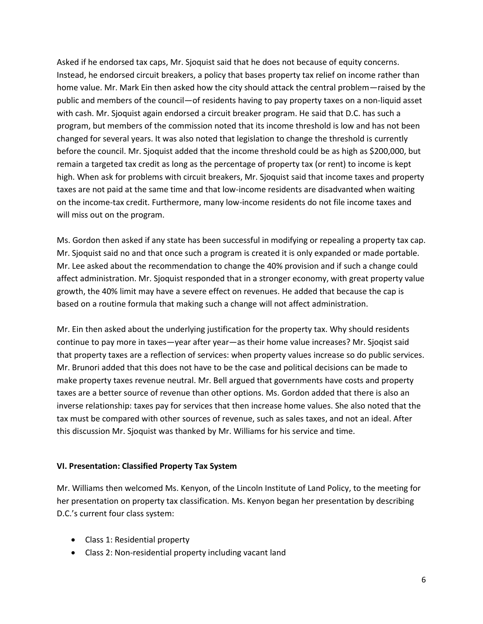Asked if he endorsed tax caps, Mr. Sjoquist said that he does not because of equity concerns. Instead, he endorsed circuit breakers, a policy that bases property tax relief on income rather than home value. Mr. Mark Ein then asked how the city should attack the central problem—raised by the public and members of the council—of residents having to pay property taxes on a non-liquid asset with cash. Mr. Sjoquist again endorsed a circuit breaker program. He said that D.C. has such a program, but members of the commission noted that its income threshold is low and has not been changed for several years. It was also noted that legislation to change the threshold is currently before the council. Mr. Sjoquist added that the income threshold could be as high as \$200,000, but remain a targeted tax credit as long as the percentage of property tax (or rent) to income is kept high. When ask for problems with circuit breakers, Mr. Sjoquist said that income taxes and property taxes are not paid at the same time and that low-income residents are disadvanted when waiting on the income-tax credit. Furthermore, many low-income residents do not file income taxes and will miss out on the program.

Ms. Gordon then asked if any state has been successful in modifying or repealing a property tax cap. Mr. Sjoquist said no and that once such a program is created it is only expanded or made portable. Mr. Lee asked about the recommendation to change the 40% provision and if such a change could affect administration. Mr. Sjoquist responded that in a stronger economy, with great property value growth, the 40% limit may have a severe effect on revenues. He added that because the cap is based on a routine formula that making such a change will not affect administration.

Mr. Ein then asked about the underlying justification for the property tax. Why should residents continue to pay more in taxes—year after year—as their home value increases? Mr. Sjoqist said that property taxes are a reflection of services: when property values increase so do public services. Mr. Brunori added that this does not have to be the case and political decisions can be made to make property taxes revenue neutral. Mr. Bell argued that governments have costs and property taxes are a better source of revenue than other options. Ms. Gordon added that there is also an inverse relationship: taxes pay for services that then increase home values. She also noted that the tax must be compared with other sources of revenue, such as sales taxes, and not an ideal. After this discussion Mr. Sjoquist was thanked by Mr. Williams for his service and time.

# **VI. Presentation: Classified Property Tax System**

Mr. Williams then welcomed Ms. Kenyon, of the Lincoln Institute of Land Policy, to the meeting for her presentation on property tax classification. Ms. Kenyon began her presentation by describing D.C.'s current four class system:

- Class 1: Residential property
- Class 2: Non-residential property including vacant land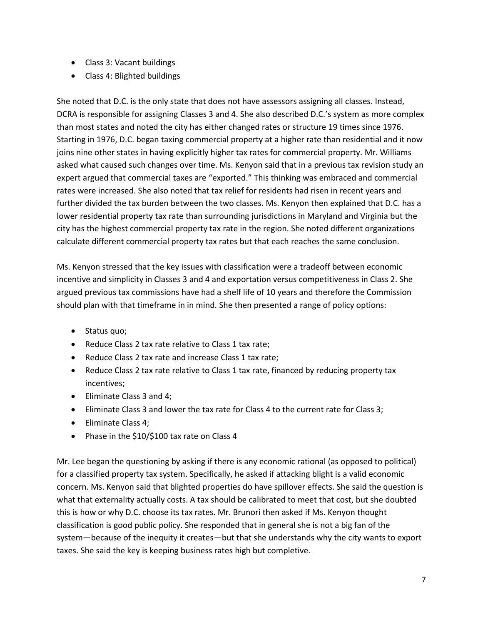- Class 3: Vacant buildings
- Class 4: Blighted buildings

She noted that D.C. is the only state that does not have assessors assigning all classes. Instead, DCRA is responsible for assigning Classes 3 and 4. She also described D.C.'s system as more complex than most states and noted the city has either changed rates or structure 19 times since 1976. Starting in 1976, D.C. began taxing commercial property at a higher rate than residential and it now joins nine other states in having explicitly higher tax rates for commercial property. Mr. Williams asked what caused such changes over time. Ms. Kenyon said that in a previous tax revision study an expert argued that commercial taxes are "exported." This thinking was embraced and commercial rates were increased. She also noted that tax relief for residents had risen in recent years and further divided the tax burden between the two classes. Ms. Kenyon then explained that D.C. has a lower residential property tax rate than surrounding jurisdictions in Maryland and Virginia but the city has the highest commercial property tax rate in the region. She noted different organizations calculate different commercial property tax rates but that each reaches the same conclusion.

Ms. Kenyon stressed that the key issues with classification were a tradeoff between economic incentive and simplicity in Classes 3 and 4 and exportation versus competitiveness in Class 2. She argued previous tax commissions have had a shelf life of 10 years and therefore the Commission should plan with that timeframe in in mind. She then presented a range of policy options:

- Status quo;
- Reduce Class 2 tax rate relative to Class 1 tax rate;
- Reduce Class 2 tax rate and increase Class 1 tax rate;
- Reduce Class 2 tax rate relative to Class 1 tax rate, financed by reducing property tax incentives;
- Eliminate Class 3 and 4;
- Eliminate Class 3 and lower the tax rate for Class 4 to the current rate for Class 3;
- Eliminate Class 4;
- Phase in the \$10/\$100 tax rate on Class 4

Mr. Lee began the questioning by asking if there is any economic rational (as opposed to political) for a classified property tax system. Specifically, he asked if attacking blight is a valid economic concern. Ms. Kenyon said that blighted properties do have spillover effects. She said the question is what that externality actually costs. A tax should be calibrated to meet that cost, but she doubted this is how or why D.C. choose its tax rates. Mr. Brunori then asked if Ms. Kenyon thought classification is good public policy. She responded that in general she is not a big fan of the system—because of the inequity it creates—but that she understands why the city wants to export taxes. She said the key is keeping business rates high but completive.